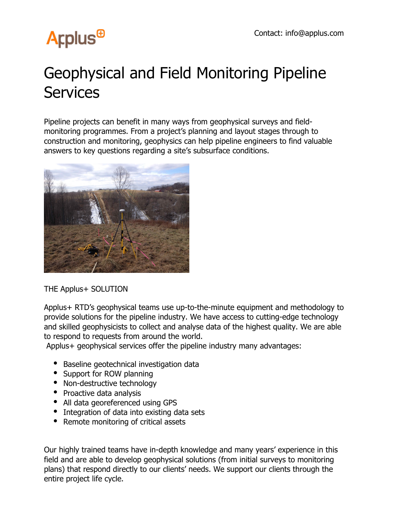# **Arplus<sup>®</sup>**

### Geophysical and Field Monitoring Pipeline **Services**

Pipeline projects can benefit in many ways from geophysical surveys and fieldmonitoring programmes. From a project's planning and layout stages through to construction and monitoring, geophysics can help pipeline engineers to find valuable answers to key questions regarding a site's subsurface conditions.



THE Applus+ SOLUTION

Applus+ RTD's geophysical teams use up-to-the-minute equipment and methodology to provide solutions for the pipeline industry. We have access to cutting-edge technology and skilled geophysicists to collect and analyse data of the highest quality. We are able to respond to requests from around the world.

Applus+ geophysical services offer the pipeline industry many advantages:

- Baseline geotechnical investigation data
- Support for ROW planning
- Non-destructive technology
- Proactive data analysis
- All data georeferenced using GPS
- Integration of data into existing data sets
- Remote monitoring of critical assets

Our highly trained teams have in-depth knowledge and many years' experience in this field and are able to develop geophysical solutions (from initial surveys to monitoring plans) that respond directly to our clients' needs. We support our clients through the entire project life cycle.